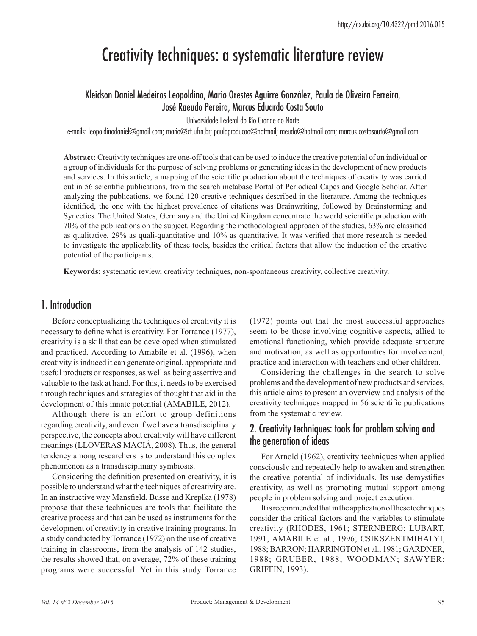# Creativity techniques: a systematic literature review

# Kleidson Daniel Medeiros Leopoldino, Mario Orestes Aguirre González, Paula de Oliveira Ferreira, José Raeudo Pereira, Marcus Eduardo Costa Souto

Universidade Federal do Rio Grande do Norte

e-mails: leopoldinodaniel@gmail.com; mario@ct.ufrn.br; paulaproducao@hotmail; raeudo@hotmail.com; marcus.costasouto@gmail.com

**Abstract:** Creativity techniques are one-off tools that can be used to induce the creative potential of an individual or a group of individuals for the purpose of solving problems or generating ideas in the development of new products and services. In this article, a mapping of the scientific production about the techniques of creativity was carried out in 56 scientific publications, from the search metabase Portal of Periodical Capes and Google Scholar. After analyzing the publications, we found 120 creative techniques described in the literature. Among the techniques identified, the one with the highest prevalence of citations was Brainwriting, followed by Brainstorming and Synectics. The United States, Germany and the United Kingdom concentrate the world scientific production with 70% of the publications on the subject. Regarding the methodological approach of the studies, 63% are classified as qualitative, 29% as quali-quantitative and 10% as quantitative. It was verified that more research is needed to investigate the applicability of these tools, besides the critical factors that allow the induction of the creative potential of the participants.

**Keywords:** systematic review, creativity techniques, non-spontaneous creativity, collective creativity.

## 1. Introduction

Before conceptualizing the techniques of creativity it is necessary to define what is creativity. For Torrance (1977), creativity is a skill that can be developed when stimulated and practiced. According to Amabile et al. (1996), when creativity is induced it can generate original, appropriate and useful products or responses, as well as being assertive and valuable to the task at hand. For this, it needs to be exercised through techniques and strategies of thought that aid in the development of this innate potential (AMABILE, 2012).

Although there is an effort to group definitions regarding creativity, and even if we have a transdisciplinary perspective, the concepts about creativity will have different meanings (LLOVERAS MACIÁ, 2008). Thus, the general tendency among researchers is to understand this complex phenomenon as a transdisciplinary symbiosis.

Considering the definition presented on creativity, it is possible to understand what the techniques of creativity are. In an instructive way Mansfield, Busse and Kreplka (1978) propose that these techniques are tools that facilitate the creative process and that can be used as instruments for the development of creativity in creative training programs. In a study conducted by Torrance (1972) on the use of creative training in classrooms, from the analysis of 142 studies, the results showed that, on average, 72% of these training programs were successful. Yet in this study Torrance (1972) points out that the most successful approaches seem to be those involving cognitive aspects, allied to emotional functioning, which provide adequate structure and motivation, as well as opportunities for involvement, practice and interaction with teachers and other children.

Considering the challenges in the search to solve problems and the development of new products and services, this article aims to present an overview and analysis of the creativity techniques mapped in 56 scientific publications from the systematic review.

## 2. Creativity techniques: tools for problem solving and the generation of ideas

For Arnold (1962), creativity techniques when applied consciously and repeatedly help to awaken and strengthen the creative potential of individuals. Its use demystifies creativity, as well as promoting mutual support among people in problem solving and project execution.

It is recommended that in the application of these techniques consider the critical factors and the variables to stimulate creativity (RHODES, 1961; STERNBERG; LUBART, 1991; AMABILE et al., 1996; CSIKSZENTMIHALYI, 1988; BARRON; HARRINGTON et al., 1981; GARDNER, 1988; GRUBER, 1988; WOODMAN; SAWYER; GRIFFIN, 1993).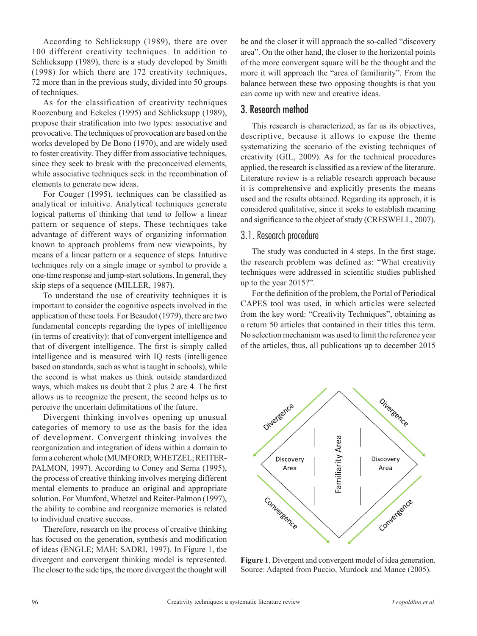According to Schlicksupp (1989), there are over 100 different creativity techniques. In addition to Schlicksupp (1989), there is a study developed by Smith (1998) for which there are 172 creativity techniques, 72 more than in the previous study, divided into 50 groups of techniques.

As for the classification of creativity techniques Roozenburg and Eekeles (1995) and Schlicksupp (1989), propose their stratification into two types: associative and provocative. The techniques of provocation are based on the works developed by De Bono (1970), and are widely used to foster creativity. They differ from associative techniques, since they seek to break with the preconceived elements, while associative techniques seek in the recombination of elements to generate new ideas.

For Couger (1995), techniques can be classified as analytical or intuitive. Analytical techniques generate logical patterns of thinking that tend to follow a linear pattern or sequence of steps. These techniques take advantage of different ways of organizing information known to approach problems from new viewpoints, by means of a linear pattern or a sequence of steps. Intuitive techniques rely on a single image or symbol to provide a one-time response and jump-start solutions. In general, they skip steps of a sequence (MILLER, 1987).

To understand the use of creativity techniques it is important to consider the cognitive aspects involved in the application of these tools. For Beaudot (1979), there are two fundamental concepts regarding the types of intelligence (in terms of creativity): that of convergent intelligence and that of divergent intelligence. The first is simply called intelligence and is measured with IQ tests (intelligence based on standards, such as what is taught in schools), while the second is what makes us think outside standardized ways, which makes us doubt that 2 plus 2 are 4. The first allows us to recognize the present, the second helps us to perceive the uncertain delimitations of the future.

Divergent thinking involves opening up unusual categories of memory to use as the basis for the idea of development. Convergent thinking involves the reorganization and integration of ideas within a domain to form a coherent whole (MUMFORD; WHETZEL; REITER-PALMON, 1997). According to Coney and Serna (1995), the process of creative thinking involves merging different mental elements to produce an original and appropriate solution. For Mumford, Whetzel and Reiter-Palmon (1997), the ability to combine and reorganize memories is related to individual creative success.

Therefore, research on the process of creative thinking has focused on the generation, synthesis and modification of ideas (ENGLE; MAH; SADRI, 1997). In Figure 1, the divergent and convergent thinking model is represented. The closer to the side tips, the more divergent the thought will

be and the closer it will approach the so-called "discovery area". On the other hand, the closer to the horizontal points of the more convergent square will be the thought and the more it will approach the "area of familiarity". From the balance between these two opposing thoughts is that you can come up with new and creative ideas.

## 3. Research method

This research is characterized, as far as its objectives, descriptive, because it allows to expose the theme systematizing the scenario of the existing techniques of creativity (GIL, 2009). As for the technical procedures applied, the research is classified as a review of the literature. Literature review is a reliable research approach because it is comprehensive and explicitly presents the means used and the results obtained. Regarding its approach, it is considered qualitative, since it seeks to establish meaning and significance to the object of study (CRESWELL, 2007).

### 3.1. Research procedure

The study was conducted in 4 steps. In the first stage, the research problem was defined as: "What creativity techniques were addressed in scientific studies published up to the year 2015?".

For the definition of the problem, the Portal of Periodical CAPES tool was used, in which articles were selected from the key word: "Creativity Techniques", obtaining as a return 50 articles that contained in their titles this term. No selection mechanism was used to limit the reference year of the articles, thus, all publications up to december 2015



**Figure 1**. Divergent and convergent model of idea generation. Source: Adapted from Puccio, Murdock and Mance (2005).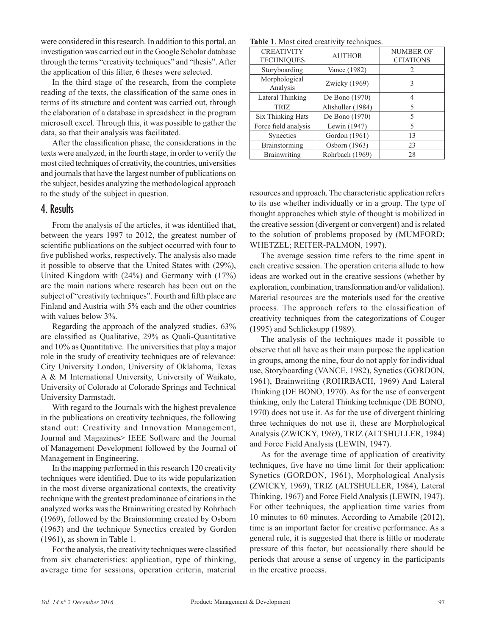were considered in this research. In addition to this portal, an investigation was carried out in the Google Scholar database through the terms "creativity techniques" and "thesis". After the application of this filter, 6 theses were selected.

In the third stage of the research, from the complete reading of the texts, the classification of the same ones in terms of its structure and content was carried out, through the elaboration of a database in spreadsheet in the program microsoft excel. Through this, it was possible to gather the data, so that their analysis was facilitated.

After the classification phase, the considerations in the texts were analyzed, in the fourth stage, in order to verify the most cited techniques of creativity, the countries, universities and journals that have the largest number of publications on the subject, besides analyzing the methodological approach to the study of the subject in question.

### 4. Results

From the analysis of the articles, it was identified that, between the years 1997 to 2012, the greatest number of scientific publications on the subject occurred with four to five published works, respectively. The analysis also made it possible to observe that the United States with (29%), United Kingdom with (24%) and Germany with (17%) are the main nations where research has been out on the subject of "creativity techniques". Fourth and fifth place are Finland and Austria with 5% each and the other countries with values below 3%.

Regarding the approach of the analyzed studies, 63% are classified as Qualitative, 29% as Quali-Quantitative and 10% as Quantitative. The universities that play a major role in the study of creativity techniques are of relevance: City University London, University of Oklahoma, Texas A & M International University, University of Waikato, University of Colorado at Colorado Springs and Technical University Darmstadt.

With regard to the Journals with the highest prevalence in the publications on creativity techniques, the following stand out: Creativity and Innovation Management, Journal and Magazines> IEEE Software and the Journal of Management Development followed by the Journal of Management in Engineering.

In the mapping performed in this research 120 creativity techniques were identified. Due to its wide popularization in the most diverse organizational contexts, the creativity technique with the greatest predominance of citations in the analyzed works was the Brainwriting created by Rohrbach (1969), followed by the Brainstorming created by Osborn (1963) and the technique Synectics created by Gordon (1961), as shown in Table 1.

For the analysis, the creativity techniques were classified from six characteristics: application, type of thinking, average time for sessions, operation criteria, material

|  |  |  |  | Table 1. Most cited creativity techniques. |
|--|--|--|--|--------------------------------------------|
|--|--|--|--|--------------------------------------------|

| <b>CREATIVITY</b><br><b>TECHNIQUES</b> | <b>AUTHOR</b>     | <b>NUMBER OF</b><br><b>CITATIONS</b> |
|----------------------------------------|-------------------|--------------------------------------|
| Storyboarding                          | Vance (1982)      | 2                                    |
| Morphological<br>Analysis              | Zwicky (1969)     | 3                                    |
| Lateral Thinking                       | De Bono (1970)    | 4                                    |
| <b>TRIZ</b>                            | Altshuller (1984) | 5                                    |
| Six Thinking Hats                      | De Bono (1970)    | 5                                    |
| Force field analysis                   | Lewin (1947)      | 5                                    |
| Synectics                              | Gordon (1961)     | 13                                   |
| Brainstorming                          | Osborn (1963)     | 23                                   |
| <b>Brainwriting</b>                    | Rohrbach (1969)   | 28                                   |

resources and approach. The characteristic application refers to its use whether individually or in a group. The type of thought approaches which style of thought is mobilized in the creative session (divergent or convergent) and is related to the solution of problems proposed by (MUMFORD; WHETZEL; REITER-PALMON, 1997).

The average session time refers to the time spent in each creative session. The operation criteria allude to how ideas are worked out in the creative sessions (whether by exploration, combination, transformation and/or validation). Material resources are the materials used for the creative process. The approach refers to the classification of creativity techniques from the categorizations of Couger (1995) and Schlicksupp (1989).

The analysis of the techniques made it possible to observe that all have as their main purpose the application in groups, among the nine, four do not apply for individual use, Storyboarding (VANCE, 1982), Synetics (GORDON, 1961), Brainwriting (ROHRBACH, 1969) And Lateral Thinking (DE BONO, 1970). As for the use of convergent thinking, only the Lateral Thinking technique (DE BONO, 1970) does not use it. As for the use of divergent thinking three techniques do not use it, these are Morphological Analysis (ZWICKY, 1969), TRIZ (ALTSHULLER, 1984) and Force Field Analysis (LEWIN, 1947).

As for the average time of application of creativity techniques, five have no time limit for their application: Synetics (GORDON, 1961), Morphological Analysis (ZWICKY, 1969), TRIZ (ALTSHULLER, 1984), Lateral Thinking, 1967) and Force Field Analysis (LEWIN, 1947). For other techniques, the application time varies from 10 minutes to 60 minutes. According to Amabile (2012), time is an important factor for creative performance. As a general rule, it is suggested that there is little or moderate pressure of this factor, but occasionally there should be periods that arouse a sense of urgency in the participants in the creative process.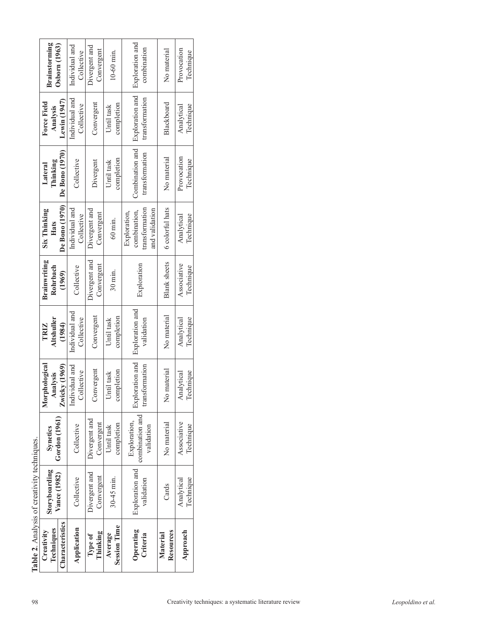|                                                   | <b>Brainstorming</b><br>Osborn (1963)          | Individual and<br>Collective        | Divergent and<br>Convergent | $10-60$ min.                   | Exploration and<br>combination                                   | No material           | Provocation<br>Technique |                                                                            |  |
|---------------------------------------------------|------------------------------------------------|-------------------------------------|-----------------------------|--------------------------------|------------------------------------------------------------------|-----------------------|--------------------------|----------------------------------------------------------------------------|--|
|                                                   | Lewin (1947)<br><b>Force Field</b><br>Analysis | Individual and<br>Collective        | Convergent                  | completion<br>Until task       | Exploration and<br>transformation                                | Blackboard            | Technique<br>Analytical  |                                                                            |  |
|                                                   | De Bono (1970)<br>Thinking<br>Lateral          | Collective                          | Divergent                   | completion<br>Until task       | Combination and<br>transformation                                | No material           | Provocation<br>Technique |                                                                            |  |
|                                                   | De Bono (1970)<br><b>Six Thinking</b><br>Hats  | Individual and<br>Collective        | Divergent and<br>Convergent | $60$ min.                      | transformation<br>and validation<br>combination,<br>Exploration, | 6 colorful hats       | Technique<br>Analytical  |                                                                            |  |
|                                                   | <b>Brainwriting</b><br>Rohrbach<br>(1969)      | Collective                          | Divergent and<br>Convergent | $30$ min.                      | Exploration                                                      | <b>Blank</b> sheets   | Associative<br>Technique |                                                                            |  |
|                                                   | <b>Altshuller</b><br><b>TRIZ</b><br>(1984)     | Individual and<br>Collective        | Convergent                  | completion<br>Until task       | Exploration and<br>validation                                    | No material           | Technique<br>Analytical  |                                                                            |  |
|                                                   | Morphological<br>Zwicky (1969)<br>Analysis     | Individual and<br><b>Collective</b> | Convergent                  | completion<br>Until task       | Exploration and<br>transformation                                | No material           | Technique<br>Analytical  |                                                                            |  |
|                                                   | Gordon (1961)<br><b>Synetics</b>               | Collective                          | Divergent and<br>Convergent | completion<br>Until task       | combination and<br>Exploration,<br>validation                    | No material           | Associative<br>Technique |                                                                            |  |
|                                                   | Storyboarding<br>Vance (1982)                  | Collective                          | Divergent and<br>Convergent | $30-45$ min.                   | Exploration and<br>validation                                    | Cards                 | Technique<br>Analytical  |                                                                            |  |
| <b>Table 2.</b> Analysis of creativity techniques | Characteristics<br>Techniques<br>Creativity    | Application                         | Thinking<br>Type of         | <b>Session Time</b><br>Average | Operating<br>Criteria                                            | Resources<br>Material | Approach                 |                                                                            |  |
| 98                                                |                                                |                                     |                             |                                |                                                                  |                       |                          | Creativity techniques: a systematic literature review<br>Leopoldino et al. |  |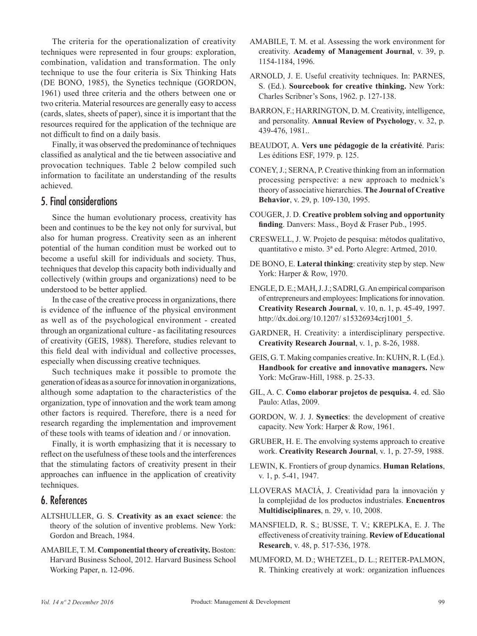The criteria for the operationalization of creativity techniques were represented in four groups: exploration, combination, validation and transformation. The only technique to use the four criteria is Six Thinking Hats (DE BONO, 1985), the Synetics technique (GORDON, 1961) used three criteria and the others between one or two criteria. Material resources are generally easy to access (cards, slates, sheets of paper), since it is important that the resources required for the application of the technique are not difficult to find on a daily basis.

Finally, it was observed the predominance of techniques classified as analytical and the tie between associative and provocation techniques. Table 2 below compiled such information to facilitate an understanding of the results achieved.

#### 5. Final considerations

Since the human evolutionary process, creativity has been and continues to be the key not only for survival, but also for human progress. Creativity seen as an inherent potential of the human condition must be worked out to become a useful skill for individuals and society. Thus, techniques that develop this capacity both individually and collectively (within groups and organizations) need to be understood to be better applied.

In the case of the creative process in organizations, there is evidence of the influence of the physical environment as well as of the psychological environment - created through an organizational culture - as facilitating resources of creativity (GEIS, 1988). Therefore, studies relevant to this field deal with individual and collective processes, especially when discussing creative techniques.

Such techniques make it possible to promote the generation of ideas as a source for innovation in organizations, although some adaptation to the characteristics of the organization, type of innovation and the work team among other factors is required. Therefore, there is a need for research regarding the implementation and improvement of these tools with teams of ideation and / or innovation.

Finally, it is worth emphasizing that it is necessary to reflect on the usefulness of these tools and the interferences that the stimulating factors of creativity present in their approaches can influence in the application of creativity techniques.

## 6. References

- ALTSHULLER, G. S. **Creativity as an exact science**: the theory of the solution of inventive problems. New York: Gordon and Breach, 1984.
- AMABILE, T. M. **Componential theory of creativity.** Boston: Harvard Business School, 2012. Harvard Business School Working Paper, n. 12-096.
- AMABILE, T. M. et al. Assessing the work environment for creativity. **Academy of Management Journal**, v. 39, p. 1154-1184, 1996.
- ARNOLD, J. E. Useful creativity techniques. In: PARNES, S. (Ed.). **Sourcebook for creative thinking.** New York: Charles Scribner's Sons, 1962. p. 127-138.
- BARRON, F.; HARRINGTON, D. M. Creativity, intelligence, and personality. **Annual Review of Psychology**, v. 32, p. 439-476, 1981..
- BEAUDOT, A. **Vers une pédagogie de la créativité**. Paris: Les éditions ESF, 1979. p. 125.
- CONEY, J.; SERNA, P. Creative thinking from an information processing perspective: a new approach to mednick's theory of associative hierarchies. **The Journal of Creative Behavior**, v. 29, p. 109-130, 1995.
- COUGER, J. D. **Creative problem solving and opportunity finding**. Danvers: Mass., Boyd & Fraser Pub., 1995.
- CRESWELL, J. W. Projeto de pesquisa: métodos qualitativo, quantitativo e misto. 3ª ed. Porto Alegre: Artmed, 2010.
- DE BONO, E. **Lateral thinking**: creativity step by step. New York: Harper & Row, 1970.
- ENGLE, D. E.; MAH, J. J.; SADRI, G. An empirical comparison of entrepreneurs and employees: Implications for innovation. **Creativity Research Journal**, v. 10, n. 1, p. 45-49, 1997. http://dx.doi.org/10.1207/ s15326934crj1001\_5.
- GARDNER, H. Creativity: a interdisciplinary perspective. **Creativity Research Journal**, v. 1, p. 8-26, 1988.
- GEIS, G. T. Making companies creative. In: KUHN, R. L (Ed.). **Handbook for creative and innovative managers.** New York: McGraw-Hill, 1988. p. 25-33.
- GIL, A. C. **Como elaborar projetos de pesquisa.** 4. ed. São Paulo: Atlas, 2009.
- GORDON, W. J. J. **Synectics**: the development of creative capacity. New York: Harper & Row, 1961.
- GRUBER, H. E. The envolving systems approach to creative work. **Creativity Research Journal**, v. 1, p. 27-59, 1988.
- LEWIN, K. Frontiers of group dynamics. **Human Relations**, v. 1, p. 5-41, 1947.
- LLOVERAS MACIÁ, J. Creatividad para la innovación y la complejidad de los productos industriales. **Encuentros Multidisciplinares**, n. 29, v. 10, 2008.
- MANSFIELD, R. S.; BUSSE, T. V.; KREPLKA, E. J. The effectiveness of creativity training. **Review of Educational Research**, v. 48, p. 517-536, 1978.
- MUMFORD, M. D.; WHETZEL, D. L.; REITER-PALMON, R. Thinking creatively at work: organization influences